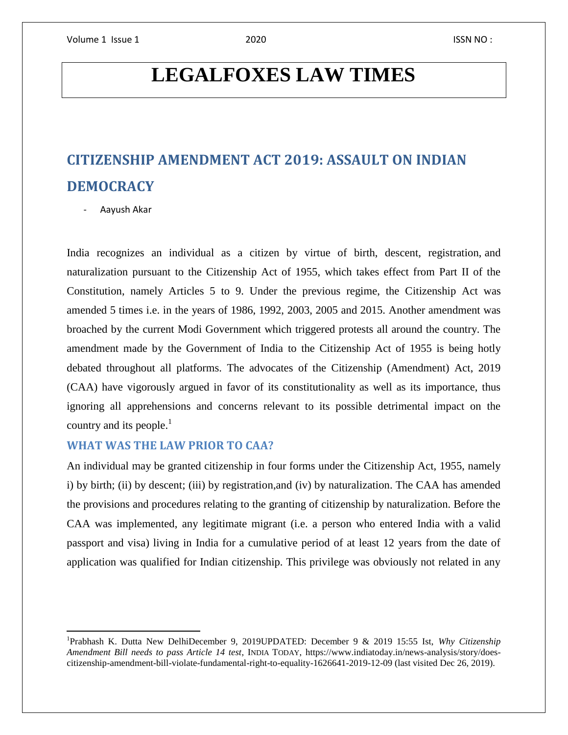# **LEGALFOXES LAW TIMES**

# **CITIZENSHIP AMENDMENT ACT 2019: ASSAULT ON INDIAN DEMOCRACY**

- Aayush Akar

 $\overline{\phantom{a}}$ 

India recognizes an individual as a citizen by virtue of birth, descent, registration, and naturalization pursuant to the Citizenship Act of 1955, which takes effect from Part II of the Constitution, namely Articles 5 to 9. Under the previous regime, the Citizenship Act was amended 5 times i.e. in the years of 1986, 1992, 2003, 2005 and 2015. Another amendment was broached by the current Modi Government which triggered protests all around the country. The amendment made by the Government of India to the Citizenship Act of 1955 is being hotly debated throughout all platforms. The advocates of the Citizenship (Amendment) Act, 2019 (CAA) have vigorously argued in favor of its constitutionality as well as its importance, thus ignoring all apprehensions and concerns relevant to its possible detrimental impact on the country and its people. $\frac{1}{1}$ 

# **WHAT WAS THE LAW PRIOR TO CAA?**

An individual may be granted citizenship in four forms under the Citizenship Act, 1955, namely i) by birth; (ii) by descent; (iii) by registration,and (iv) by naturalization. The CAA has amended the provisions and procedures relating to the granting of citizenship by naturalization. Before the CAA was implemented, any legitimate migrant (i.e. a person who entered India with a valid passport and visa) living in India for a cumulative period of at least 12 years from the date of application was qualified for Indian citizenship. This privilege was obviously not related in any

<sup>1</sup> Prabhash K. Dutta New DelhiDecember 9, 2019UPDATED: December 9 & 2019 15:55 Ist, *Why Citizenship Amendment Bill needs to pass Article 14 test*, INDIA TODAY, https://www.indiatoday.in/news-analysis/story/doescitizenship-amendment-bill-violate-fundamental-right-to-equality-1626641-2019-12-09 (last visited Dec 26, 2019).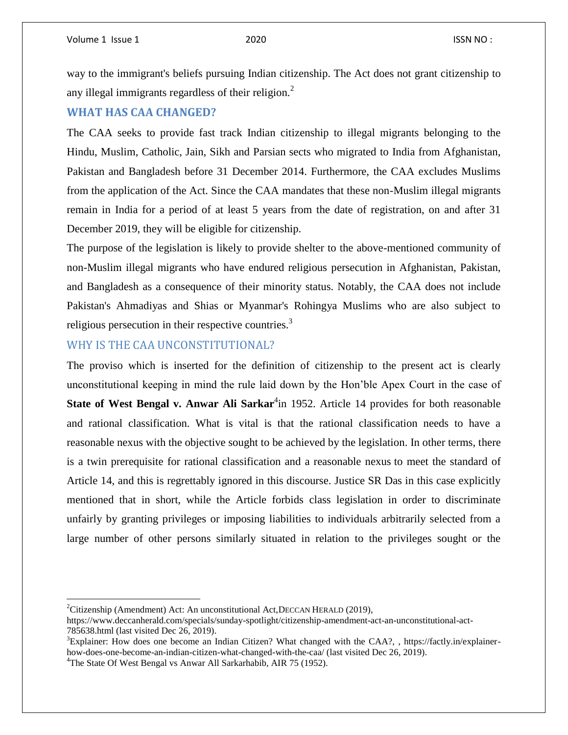way to the immigrant's beliefs pursuing Indian citizenship. The Act does not grant citizenship to any illegal immigrants regardless of their religion.<sup>2</sup>

## **WHAT HAS CAA CHANGED?**

The CAA seeks to provide fast track Indian citizenship to illegal migrants belonging to the Hindu, Muslim, Catholic, Jain, Sikh and Parsian sects who migrated to India from Afghanistan, Pakistan and Bangladesh before 31 December 2014. Furthermore, the CAA excludes Muslims from the application of the Act. Since the CAA mandates that these non-Muslim illegal migrants remain in India for a period of at least 5 years from the date of registration, on and after 31 December 2019, they will be eligible for citizenship.

The purpose of the legislation is likely to provide shelter to the above-mentioned community of non-Muslim illegal migrants who have endured religious persecution in Afghanistan, Pakistan, and Bangladesh as a consequence of their minority status. Notably, the CAA does not include Pakistan's Ahmadiyas and Shias or Myanmar's Rohingya Muslims who are also subject to religious persecution in their respective countries.<sup>3</sup>

# WHY IS THE CAA UNCONSTITUTIONAL?

The proviso which is inserted for the definition of citizenship to the present act is clearly unconstitutional keeping in mind the rule laid down by the Hon'ble Apex Court in the case of State of West Bengal v. Anwar Ali Sarkar<sup>4</sup>in 1952. Article 14 provides for both reasonable and rational classification. What is vital is that the rational classification needs to have a reasonable nexus with the objective sought to be achieved by the legislation. In other terms, there is a twin prerequisite for rational classification and a reasonable nexus to meet the standard of Article 14, and this is regrettably ignored in this discourse. Justice SR Das in this case explicitly mentioned that in short, while the Article forbids class legislation in order to discriminate unfairly by granting privileges or imposing liabilities to individuals arbitrarily selected from a large number of other persons similarly situated in relation to the privileges sought or the

l

<sup>&</sup>lt;sup>2</sup>Citizenship (Amendment) Act: An unconstitutional Act, DECCAN HERALD (2019),

https://www.deccanherald.com/specials/sunday-spotlight/citizenship-amendment-act-an-unconstitutional-act-785638.html (last visited Dec 26, 2019).

<sup>3</sup>Explainer: How does one become an Indian Citizen? What changed with the CAA?, , https://factly.in/explainerhow-does-one-become-an-indian-citizen-what-changed-with-the-caa/ (last visited Dec 26, 2019).

<sup>&</sup>lt;sup>4</sup>The State Of West Bengal vs Anwar All Sarkarhabib, AIR 75 (1952).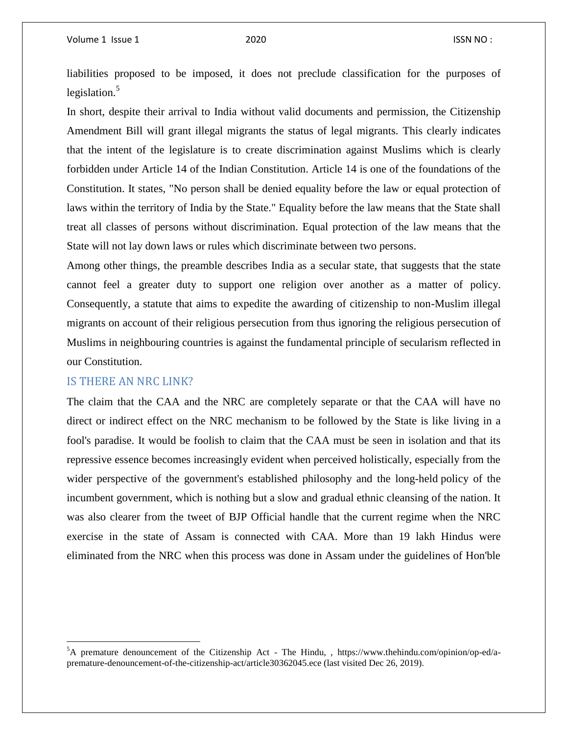liabilities proposed to be imposed, it does not preclude classification for the purposes of legislation. $5$ 

In short, despite their arrival to India without valid documents and permission, the Citizenship Amendment Bill will grant illegal migrants the status of legal migrants. This clearly indicates that the intent of the legislature is to create discrimination against Muslims which is clearly forbidden under Article 14 of the Indian Constitution. Article 14 is one of the foundations of the Constitution. It states, "No person shall be denied equality before the law or equal protection of laws within the territory of India by the State." Equality before the law means that the State shall treat all classes of persons without discrimination. Equal protection of the law means that the State will not lay down laws or rules which discriminate between two persons.

Among other things, the preamble describes India as a secular state, that suggests that the state cannot feel a greater duty to support one religion over another as a matter of policy. Consequently, a statute that aims to expedite the awarding of citizenship to non-Muslim illegal migrants on account of their religious persecution from thus ignoring the religious persecution of Muslims in neighbouring countries is against the fundamental principle of secularism reflected in our Constitution.

#### IS THERE AN NRC LINK?

 $\overline{\phantom{a}}$ 

The claim that the CAA and the NRC are completely separate or that the CAA will have no direct or indirect effect on the NRC mechanism to be followed by the State is like living in a fool's paradise. It would be foolish to claim that the CAA must be seen in isolation and that its repressive essence becomes increasingly evident when perceived holistically, especially from the wider perspective of the government's established philosophy and the long-held policy of the incumbent government, which is nothing but a slow and gradual ethnic cleansing of the nation. It was also clearer from the tweet of BJP Official handle that the current regime when the NRC exercise in the state of Assam is connected with CAA. More than 19 lakh Hindus were eliminated from the NRC when this process was done in Assam under the guidelines of Hon'ble

 ${}^{5}A$  premature denouncement of the Citizenship Act - The Hindu, , https://www.thehindu.com/opinion/op-ed/apremature-denouncement-of-the-citizenship-act/article30362045.ece (last visited Dec 26, 2019).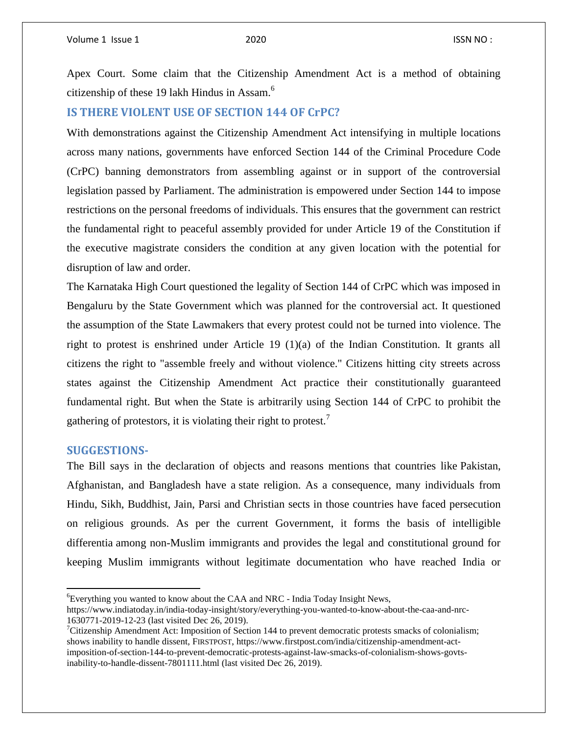Apex Court. Some claim that the Citizenship Amendment Act is a method of obtaining citizenship of these 19 lakh Hindus in Assam.<sup>6</sup>

### **IS THERE VIOLENT USE OF SECTION 144 OF CrPC?**

With demonstrations against the Citizenship Amendment Act intensifying in multiple locations across many nations, governments have enforced Section 144 of the Criminal Procedure Code (CrPC) banning demonstrators from assembling against or in support of the controversial legislation passed by Parliament. The administration is empowered under Section 144 to impose restrictions on the personal freedoms of individuals. This ensures that the government can restrict the fundamental right to peaceful assembly provided for under Article 19 of the Constitution if the executive magistrate considers the condition at any given location with the potential for disruption of law and order.

The Karnataka High Court questioned the legality of Section 144 of CrPC which was imposed in Bengaluru by the State Government which was planned for the controversial act. It questioned the assumption of the State Lawmakers that every protest could not be turned into violence. The right to protest is enshrined under Article 19 (1)(a) of the Indian Constitution. It grants all citizens the right to "assemble freely and without violence." Citizens hitting city streets across states against the Citizenship Amendment Act practice their constitutionally guaranteed fundamental right. But when the State is arbitrarily using Section 144 of CrPC to prohibit the gathering of protestors, it is violating their right to protest.<sup>7</sup>

#### **SUGGESTIONS-**

 $\overline{\phantom{a}}$ 

The Bill says in the declaration of objects and reasons mentions that countries like Pakistan, Afghanistan, and Bangladesh have a state religion. As a consequence, many individuals from Hindu, Sikh, Buddhist, Jain, Parsi and Christian sects in those countries have faced persecution on religious grounds. As per the current Government, it forms the basis of intelligible differentia among non-Muslim immigrants and provides the legal and constitutional ground for keeping Muslim immigrants without legitimate documentation who have reached India or

<sup>6</sup>Everything you wanted to know about the CAA and NRC - India Today Insight News,

https://www.indiatoday.in/india-today-insight/story/everything-you-wanted-to-know-about-the-caa-and-nrc-1630771-2019-12-23 (last visited Dec 26, 2019).

<sup>&</sup>lt;sup>7</sup>Citizenship Amendment Act: Imposition of Section 144 to prevent democratic protests smacks of colonialism; shows inability to handle dissent, FIRSTPOST, https://www.firstpost.com/india/citizenship-amendment-actimposition-of-section-144-to-prevent-democratic-protests-against-law-smacks-of-colonialism-shows-govtsinability-to-handle-dissent-7801111.html (last visited Dec 26, 2019).